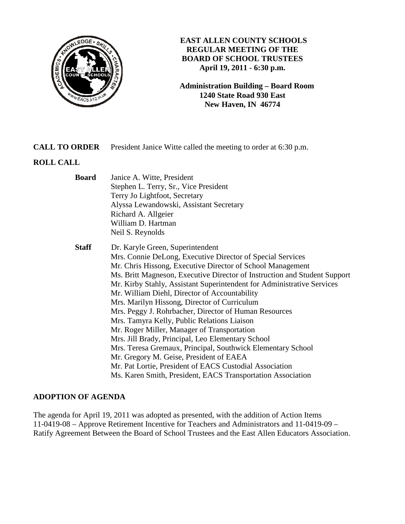

# **EAST ALLEN COUNTY SCHOOLS REGULAR MEETING OF THE BOARD OF SCHOOL TRUSTEES April 19, 2011 - 6:30 p.m.**

**Administration Building – Board Room 1240 State Road 930 East New Haven, IN 46774**

# **CALL TO ORDER** President Janice Witte called the meeting to order at 6:30 p.m.

# **ROLL CALL**

| <b>Board</b> | Janice A. Witte, President                                                |
|--------------|---------------------------------------------------------------------------|
|              | Stephen L. Terry, Sr., Vice President                                     |
|              | Terry Jo Lightfoot, Secretary                                             |
|              | Alyssa Lewandowski, Assistant Secretary                                   |
|              | Richard A. Allgeier                                                       |
|              | William D. Hartman                                                        |
|              | Neil S. Reynolds                                                          |
| <b>Staff</b> | Dr. Karyle Green, Superintendent                                          |
|              | Mrs. Connie DeLong, Executive Director of Special Services                |
|              | Mr. Chris Hissong, Executive Director of School Management                |
|              | Ms. Britt Magneson, Executive Director of Instruction and Student Support |
|              | Mr. Kirby Stahly, Assistant Superintendent for Administrative Services    |
|              | Mr. William Diehl, Director of Accountability                             |
|              | Mrs. Marilyn Hissong, Director of Curriculum                              |
|              | Mrs. Peggy J. Rohrbacher, Director of Human Resources                     |
|              | Mrs. Tamyra Kelly, Public Relations Liaison                               |
|              | Mr. Roger Miller, Manager of Transportation                               |
|              | Mrs. Jill Brady, Principal, Leo Elementary School                         |
|              | Mrs. Teresa Gremaux, Principal, Southwick Elementary School               |
|              | Mr. Gregory M. Geise, President of EAEA                                   |
|              | Mr. Pat Lortie, President of EACS Custodial Association                   |
|              | Ms. Karen Smith, President, EACS Transportation Association               |
|              |                                                                           |

# **ADOPTION OF AGENDA**

The agenda for April 19, 2011 was adopted as presented, with the addition of Action Items 11-0419-08 – Approve Retirement Incentive for Teachers and Administrators and 11-0419-09 – Ratify Agreement Between the Board of School Trustees and the East Allen Educators Association.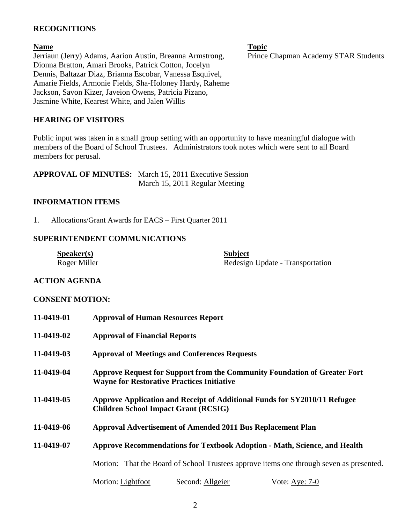### **RECOGNITIONS**

#### **Name** Topic **Name** Topic

Jerriaun (Jerry) Adams, Aarion Austin, Breanna Armstrong, Prince Chapman Academy STAR Students Dionna Bratton, Amari Brooks, Patrick Cotton, Jocelyn Dennis, Baltazar Diaz, Brianna Escobar, Vanessa Esquivel, Amarie Fields, Armonie Fields, Sha-Holoney Hardy, Raheme Jackson, Savon Kizer, Javeion Owens, Patricia Pizano, Jasmine White, Kearest White, and Jalen Willis

#### **HEARING OF VISITORS**

Public input was taken in a small group setting with an opportunity to have meaningful dialogue with members of the Board of School Trustees. Administrators took notes which were sent to all Board members for perusal.

| <b>APPROVAL OF MINUTES:</b> March 15, 2011 Executive Session |
|--------------------------------------------------------------|
| March 15, 2011 Regular Meeting                               |

#### **INFORMATION ITEMS**

1. Allocations/Grant Awards for EACS – First Quarter 2011

#### **SUPERINTENDENT COMMUNICATIONS**

| S <sub>p</sub> e <sub>aker(s)</sub> | <b>Subject</b>                   |
|-------------------------------------|----------------------------------|
| Roger Miller                        | Redesign Update - Transportation |

#### **ACTION AGENDA**

#### **CONSENT MOTION:**

| 11-0419-01 | <b>Approval of Human Resources Report</b>                                                                                      |
|------------|--------------------------------------------------------------------------------------------------------------------------------|
| 11-0419-02 | <b>Approval of Financial Reports</b>                                                                                           |
| 11-0419-03 | <b>Approval of Meetings and Conferences Requests</b>                                                                           |
| 11-0419-04 | Approve Request for Support from the Community Foundation of Greater Fort<br><b>Wayne for Restorative Practices Initiative</b> |
| 11-0419-05 | Approve Application and Receipt of Additional Funds for SY2010/11 Refugee<br><b>Children School Impact Grant (RCSIG)</b>       |
| 11-0419-06 | Approval Advertisement of Amended 2011 Bus Replacement Plan                                                                    |
| 11-0419-07 | <b>Approve Recommendations for Textbook Adoption - Math, Science, and Health</b>                                               |
|            | Motion: That the Board of School Trustees approve items one through seven as presented.                                        |
|            | Second: Allgeier<br>Motion: Lightfoot<br>Vote: Aye: $7-0$                                                                      |